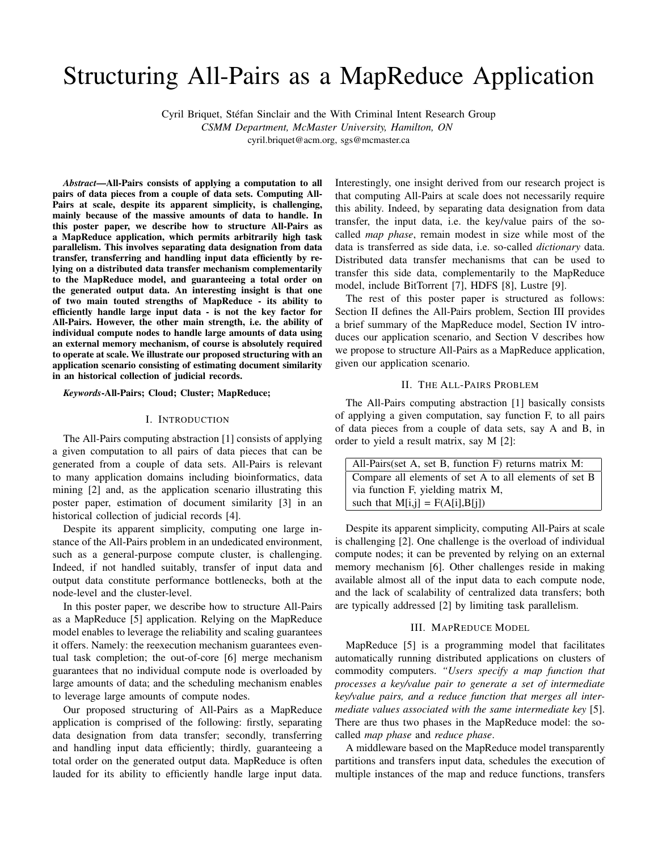# Structuring All-Pairs as a MapReduce Application

Cyril Briquet, Stefan Sinclair and the With Criminal Intent Research Group ´ *CSMM Department, McMaster University, Hamilton, ON* cyril.briquet@acm.org, sgs@mcmaster.ca

*Abstract*—All-Pairs consists of applying a computation to all pairs of data pieces from a couple of data sets. Computing All-Pairs at scale, despite its apparent simplicity, is challenging, mainly because of the massive amounts of data to handle. In this poster paper, we describe how to structure All-Pairs as a MapReduce application, which permits arbitrarily high task parallelism. This involves separating data designation from data transfer, transferring and handling input data efficiently by relying on a distributed data transfer mechanism complementarily to the MapReduce model, and guaranteeing a total order on the generated output data. An interesting insight is that one of two main touted strengths of MapReduce - its ability to efficiently handle large input data - is not the key factor for All-Pairs. However, the other main strength, i.e. the ability of individual compute nodes to handle large amounts of data using an external memory mechanism, of course is absolutely required to operate at scale. We illustrate our proposed structuring with an application scenario consisting of estimating document similarity in an historical collection of judicial records.

*Keywords*-All-Pairs; Cloud; Cluster; MapReduce;

## I. INTRODUCTION

The All-Pairs computing abstraction [1] consists of applying a given computation to all pairs of data pieces that can be generated from a couple of data sets. All-Pairs is relevant to many application domains including bioinformatics, data mining [2] and, as the application scenario illustrating this poster paper, estimation of document similarity [3] in an historical collection of judicial records [4].

Despite its apparent simplicity, computing one large instance of the All-Pairs problem in an undedicated environment, such as a general-purpose compute cluster, is challenging. Indeed, if not handled suitably, transfer of input data and output data constitute performance bottlenecks, both at the node-level and the cluster-level.

In this poster paper, we describe how to structure All-Pairs as a MapReduce [5] application. Relying on the MapReduce model enables to leverage the reliability and scaling guarantees it offers. Namely: the reexecution mechanism guarantees eventual task completion; the out-of-core [6] merge mechanism guarantees that no individual compute node is overloaded by large amounts of data; and the scheduling mechanism enables to leverage large amounts of compute nodes.

Our proposed structuring of All-Pairs as a MapReduce application is comprised of the following: firstly, separating data designation from data transfer; secondly, transferring and handling input data efficiently; thirdly, guaranteeing a total order on the generated output data. MapReduce is often lauded for its ability to efficiently handle large input data. Interestingly, one insight derived from our research project is that computing All-Pairs at scale does not necessarily require this ability. Indeed, by separating data designation from data transfer, the input data, i.e. the key/value pairs of the socalled *map phase*, remain modest in size while most of the data is transferred as side data, i.e. so-called *dictionary* data. Distributed data transfer mechanisms that can be used to transfer this side data, complementarily to the MapReduce model, include BitTorrent [7], HDFS [8], Lustre [9].

The rest of this poster paper is structured as follows: Section II defines the All-Pairs problem, Section III provides a brief summary of the MapReduce model, Section IV introduces our application scenario, and Section V describes how we propose to structure All-Pairs as a MapReduce application, given our application scenario.

#### II. THE ALL-PAIRS PROBLEM

The All-Pairs computing abstraction [1] basically consists of applying a given computation, say function F, to all pairs of data pieces from a couple of data sets, say A and B, in order to yield a result matrix, say M [2]:

| All-Pairs (set A, set B, function F) returns matrix M: |
|--------------------------------------------------------|
| Compare all elements of set A to all elements of set B |
| via function F, yielding matrix M,                     |
| such that $M[i,j] = F(A[i], B[i])$                     |

Despite its apparent simplicity, computing All-Pairs at scale is challenging [2]. One challenge is the overload of individual compute nodes; it can be prevented by relying on an external memory mechanism [6]. Other challenges reside in making available almost all of the input data to each compute node, and the lack of scalability of centralized data transfers; both are typically addressed [2] by limiting task parallelism.

# III. MAPREDUCE MODEL

MapReduce [5] is a programming model that facilitates automatically running distributed applications on clusters of commodity computers. *"Users specify a map function that processes a key/value pair to generate a set of intermediate key/value pairs, and a reduce function that merges all intermediate values associated with the same intermediate key* [5]. There are thus two phases in the MapReduce model: the socalled *map phase* and *reduce phase*.

A middleware based on the MapReduce model transparently partitions and transfers input data, schedules the execution of multiple instances of the map and reduce functions, transfers